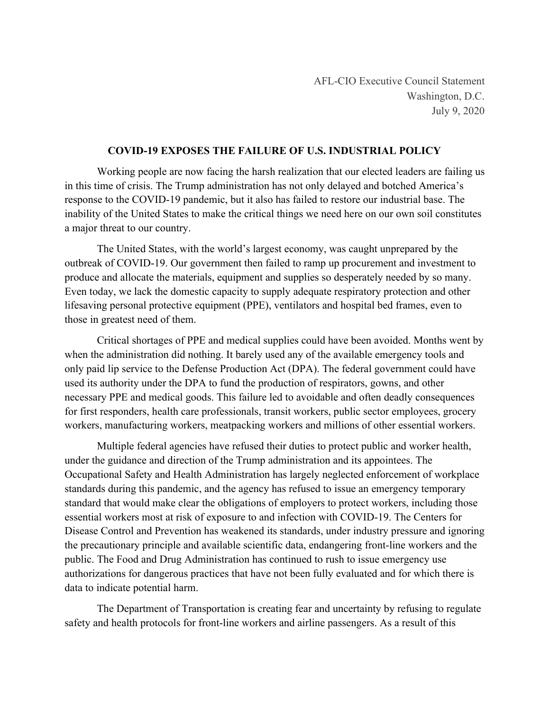## **COVID-19 EXPOSES THE FAILURE OF U.S. INDUSTRIAL POLICY**

Working people are now facing the harsh realization that our elected leaders are failing us in this time of crisis. The Trump administration has not only delayed and botched America's response to the COVID-19 pandemic, but it also has failed to restore our industrial base. The inability of the United States to make the critical things we need here on our own soil constitutes a major threat to our country.

The United States, with the world's largest economy, was caught unprepared by the outbreak of COVID-19. Our government then failed to ramp up procurement and investment to produce and allocate the materials, equipment and supplies so desperately needed by so many. Even today, we lack the domestic capacity to supply adequate respiratory protection and other lifesaving personal protective equipment (PPE), ventilators and hospital bed frames, even to those in greatest need of them.

Critical shortages of PPE and medical supplies could have been avoided. Months went by when the administration did nothing. It barely used any of the available emergency tools and only paid lip service to the Defense Production Act (DPA). The federal government could have used its authority under the DPA to fund the production of respirators, gowns, and other necessary PPE and medical goods. This failure led to avoidable and often deadly consequences for first responders, health care professionals, transit workers, public sector employees, grocery workers, manufacturing workers, meatpacking workers and millions of other essential workers.

Multiple federal agencies have refused their duties to protect public and worker health, under the guidance and direction of the Trump administration and its appointees. The Occupational Safety and Health Administration has largely neglected enforcement of workplace standards during this pandemic, and the agency has refused to issue an emergency temporary standard that would make clear the obligations of employers to protect workers, including those essential workers most at risk of exposure to and infection with COVID-19. The Centers for Disease Control and Prevention has weakened its standards, under industry pressure and ignoring the precautionary principle and available scientific data, endangering front-line workers and the public. The Food and Drug Administration has continued to rush to issue emergency use authorizations for dangerous practices that have not been fully evaluated and for which there is data to indicate potential harm.

The Department of Transportation is creating fear and uncertainty by refusing to regulate safety and health protocols for front-line workers and airline passengers. As a result of this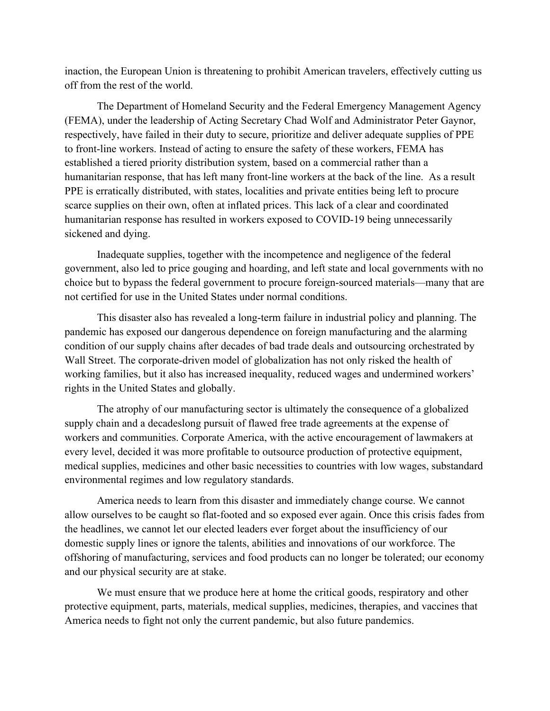inaction, the European Union is threatening to prohibit American travelers, effectively cutting us off from the rest of the world.

The Department of Homeland Security and the Federal Emergency Management Agency (FEMA), under the leadership of Acting Secretary Chad Wolf and Administrator Peter Gaynor, respectively, have failed in their duty to secure, prioritize and deliver adequate supplies of PPE to front-line workers. Instead of acting to ensure the safety of these workers, FEMA has established a tiered priority distribution system, based on a commercial rather than a humanitarian response, that has left many front-line workers at the back of the line. As a result PPE is erratically distributed, with states, localities and private entities being left to procure scarce supplies on their own, often at inflated prices. This lack of a clear and coordinated humanitarian response has resulted in workers exposed to COVID-19 being unnecessarily sickened and dying.

Inadequate supplies, together with the incompetence and negligence of the federal government, also led to price gouging and hoarding, and left state and local governments with no choice but to bypass the federal government to procure foreign-sourced materials—many that are not certified for use in the United States under normal conditions.

This disaster also has revealed a long-term failure in industrial policy and planning. The pandemic has exposed our dangerous dependence on foreign manufacturing and the alarming condition of our supply chains after decades of bad trade deals and outsourcing orchestrated by Wall Street. The corporate-driven model of globalization has not only risked the health of working families, but it also has increased inequality, reduced wages and undermined workers' rights in the United States and globally.

The atrophy of our manufacturing sector is ultimately the consequence of a globalized supply chain and a decadeslong pursuit of flawed free trade agreements at the expense of workers and communities. Corporate America, with the active encouragement of lawmakers at every level, decided it was more profitable to outsource production of protective equipment, medical supplies, medicines and other basic necessities to countries with low wages, substandard environmental regimes and low regulatory standards.

America needs to learn from this disaster and immediately change course. We cannot allow ourselves to be caught so flat-footed and so exposed ever again. Once this crisis fades from the headlines, we cannot let our elected leaders ever forget about the insufficiency of our domestic supply lines or ignore the talents, abilities and innovations of our workforce. The offshoring of manufacturing, services and food products can no longer be tolerated; our economy and our physical security are at stake.

We must ensure that we produce here at home the critical goods, respiratory and other protective equipment, parts, materials, medical supplies, medicines, therapies, and vaccines that America needs to fight not only the current pandemic, but also future pandemics.